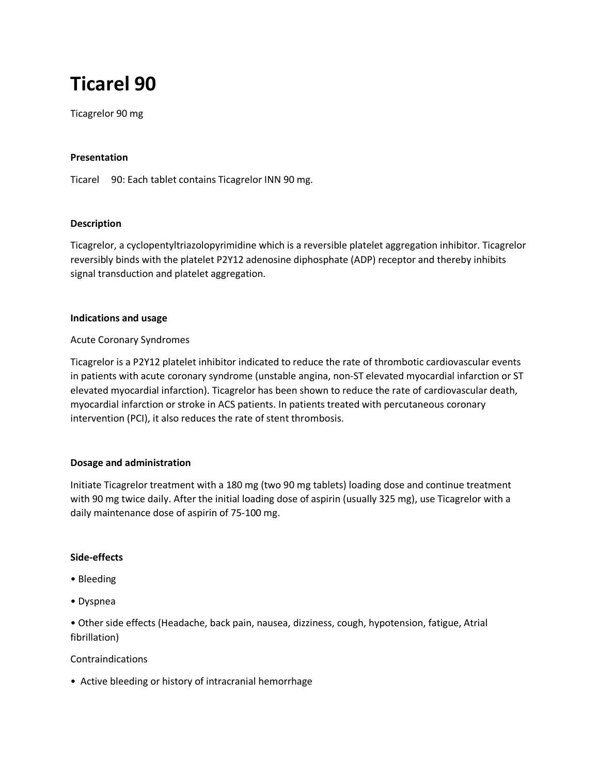# **Ticarel 90**

Ticagrelor 90 mg

# **Presentation**

Ticarel 90: Each tablet contains Ticagrelor INN 90 mg.

## **Description**

Ticagrelor, a cyclopentyltriazolopyrimidine which is a reversible platelet aggregation inhibitor. Ticagrelor reversibly binds with the platelet P2Y12 adenosine diphosphate (ADP) receptor and thereby inhibits signal transduction and platelet aggregation.

## **Indications and usage**

## Acute Coronary Syndromes

Ticagrelor is a P2Y12 platelet inhibitor indicated to reduce the rate of thrombotic cardiovascular events in patients with acute coronary syndrome (unstable angina, non-ST elevated myocardial infarction or ST elevated myocardial infarction). Ticagrelor has been shown to reduce the rate of cardiovascular death, myocardial infarction or stroke in ACS patients. In patients treated with percutaneous coronary intervention (PCI), it also reduces the rate of stent thrombosis.

# **Dosage and administration**

Initiate Ticagrelor treatment with a 180 mg (two 90 mg tablets) loading dose and continue treatment with 90 mg twice daily. After the initial loading dose of aspirin (usually 325 mg), use Ticagrelor with a daily maintenance dose of aspirin of 75-100 mg.

#### **Side-effects**

- Bleeding
- Dyspnea

• Other side effects (Headache, back pain, nausea, dizziness, cough, hypotension, fatigue, Atrial fibrillation)

# Contraindications

• Active bleeding or history of intracranial hemorrhage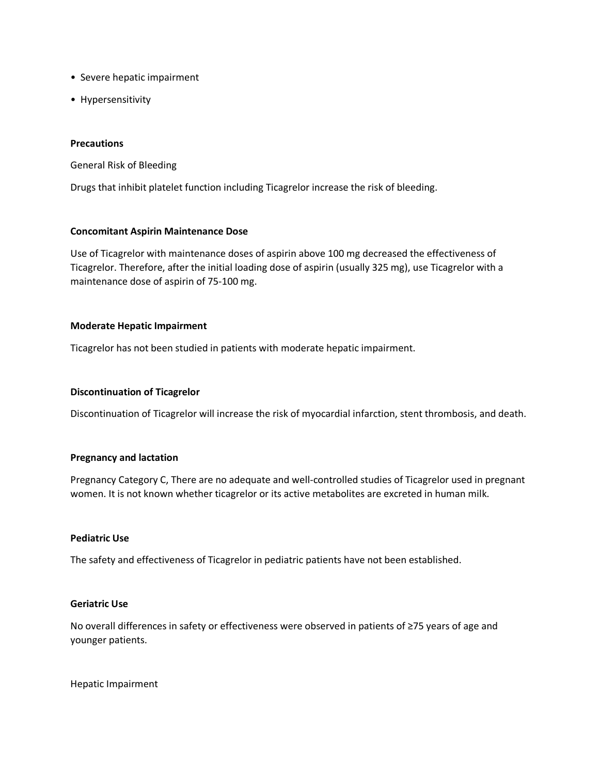- Severe hepatic impairment
- Hypersensitivity

#### **Precautions**

General Risk of Bleeding

Drugs that inhibit platelet function including Ticagrelor increase the risk of bleeding.

#### **Concomitant Aspirin Maintenance Dose**

Use of Ticagrelor with maintenance doses of aspirin above 100 mg decreased the effectiveness of Ticagrelor. Therefore, after the initial loading dose of aspirin (usually 325 mg), use Ticagrelor with a maintenance dose of aspirin of 75-100 mg.

#### **Moderate Hepatic Impairment**

Ticagrelor has not been studied in patients with moderate hepatic impairment.

#### **Discontinuation of Ticagrelor**

Discontinuation of Ticagrelor will increase the risk of myocardial infarction, stent thrombosis, and death.

#### **Pregnancy and lactation**

Pregnancy Category C, There are no adequate and well-controlled studies of Ticagrelor used in pregnant women. It is not known whether ticagrelor or its active metabolites are excreted in human milk.

## **Pediatric Use**

The safety and effectiveness of Ticagrelor in pediatric patients have not been established.

## **Geriatric Use**

No overall differences in safety or effectiveness were observed in patients of ≥75 years of age and younger patients.

Hepatic Impairment